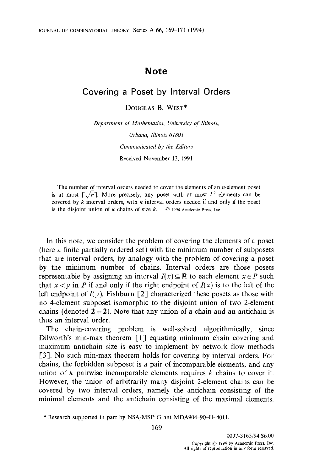## **Note**

## **Covering a Poset by Interval Orders**

DOUGLAS B. WEST\*

*Department of Mathematics, University of Illinois, Urbana, Illinois 61801 Communicated by the Editors*  Received November 13, 1991

The number of interval orders needed to cover the elements of an *n*-element poset is at most  $\lceil \sqrt{n} \rceil$ . More precisely, any poset with at most  $k^2$  elements can be covered by  $k$  interval orders, with  $k$  interval orders needed if and only if the poset is the disjoint union of k chains of size k.  $\circledcirc$  1994 Academic Press, Inc.

In this note, we consider the problem of covering the elements of a poset (here a finite partially ordered set) with the minimum number of subposets that are interval orders, by analogy with the problem of covering a poset by the minimum number of chains. Interval orders are those posets representable by assigning an interval  $I(x) \subseteq \mathbb{R}$  to each element  $x \in P$  such that  $x < y$  in P if and only if the right endpoint of  $I(x)$  is to the left of the left endpoint of  $I(y)$ . Fishburn [2] characterized these posets as those with no 4-element subposet isomorphic to the disjoint union of two 2-element chains (denoted  $2+2$ ). Note that any union of a chain and an antichain is thus an interval order.

The chain-covering problem is well-solved algorithmically, since Dilworth's min-max theorem [1] equating minimum chain covering and maximum antichain size is easy to implement by network flow methods [3]. No such min-max theorem holds for covering by interval orders. For chains, the forbidden subposet is a pair of incomparable elements, and any union of  $k$  pairwise incomparable elements requires  $k$  chains to cover it. However, the union of arbitrarily many disjoint 2-element chains can be covered by two interval orders, namely the antichain consisting of the minimal elements and the antichain consisting of the maximal elements.

<sup>\*</sup> Research supported in part by NSA/MSP Grant MDA904-90-H-4011.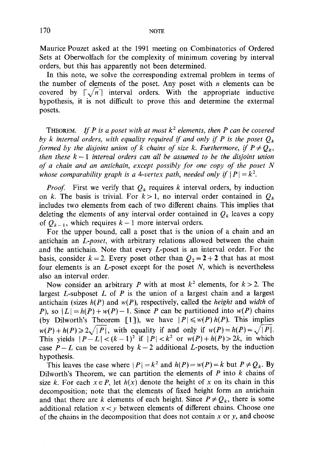Maurice Pouzet asked at the 1991 meeting on Combinatorics of Ordered Sets at Oberwolfach for the complexity of minimum covering by interval orders, but this has apparently not been determined.

In this note, we solve the corresponding extremal problem in terms of the number of elements of the poset. Any poset with  $n$  elements can be covered by  $\lceil \sqrt{n} \rceil$  interval orders. With the appropriate inductive hypothesis, it is not difficult to prove this and determine the extermal posets.

THEOREM. *If P is a poset with at most*  $k^2$  elements, then P can be covered by k interval orders, with equality required if and only if P is the poset  $Q_k$ *formed by the disjoint union of k chains of size k. Furthermore, if*  $P \neq Q_k$ , *then these*  $k-1$  *interval orders can all be assumed to be the disjoint union of a chain and an antichain, except possibly for one copy of the poset N whose comparability graph is a 4-vertex path, needed only if*  $|P| = k^2$ .

*Proof.* First we verify that  $Q_k$  requires k interval orders, by induction on k. The basis is trivial. For  $k > 1$ , no interval order contained in  $Q_k$ includes two elements from each of two different chains. This implies that deleting the elements of any interval order contained in  $Q_k$  leaves a copy of  $Q_{k-1}$ , which requires  $k-1$  more interval orders.

For the upper bound, call a poser that is the union of a chain and an antichain an *L-poset,* with arbitrary relations allowed between the chain and the antichain. Note that every L-poset is an interval order. For the basis, consider  $k=2$ . Every poset other than  $Q_2 = 2 + 2$  that has at most four elements is an  $L$ -poset except for the poset  $N$ , which is nevertheless also an interval order.

Now consider an arbitrary P with at most  $k^2$  elements, for  $k > 2$ . The largest  $L$ -subposet  $L$  of  $P$  is the union of a largest chain and a largest antichain (sizes *h(P)* and *w(P),* respectively, called the *height* and *width* of P), so  $|L| = h(P) + w(P) - 1$ . Since P can be partitioned into  $w(P)$  chains (by Dilworth's Theorem [1]), we have  $|P| \leq w(P)h(P)$ . This implies  $w(P) + h(P) \ge 2\sqrt{|P|}$ , with equality if and only if  $w(P) = h(P) = \sqrt{|P|}$ . This yields  $|P-L| < (k-1)^2$  if  $|P| < k^2$  or  $w(P) + h(P) > 2k$ , in which case  $P-L$  can be covered by  $k-2$  additional L-posets, by the induction hypothesis.

This leaves the case where  $|P| = k^2$  and  $h(P) = w(P) = k$  but  $P \neq Q_k$ . By Dilworth's Theorem, we can partition the elements of  $P$  into  $k$  chains of size k. For each  $x \in P$ , let  $h(x)$  denote the height of x on its chain in this decomposition; note that the elements of fixed height form an antichain and that there are k elements of each height. Since  $P \neq Q_k$ , there is some additional relation  $x < y$  between elements of different chains. Choose one of the chains in the decomposition that does not contain  $x$  or  $y$ , and choose